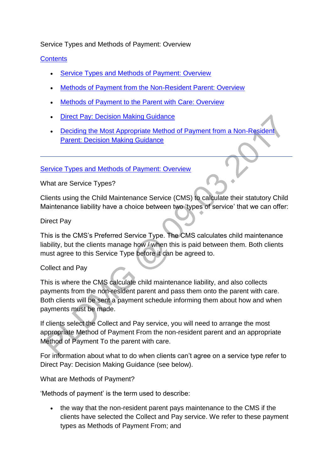#### Service Types and Methods of Payment: Overview

### **[Contents](http://np-cmg-sharepoint.link2.gpn.gov.uk/sites/policy-law-and-decision-making-guidance/Pages/Service%20Types%20and%20Methods%20of%20Payments/Service-Types-and-Methods-of-Payment.aspx)**

- [Service Types and Methods of Payment: Overview](http://np-cmg-sharepoint.link2.gpn.gov.uk/sites/policy-law-and-decision-making-guidance/Pages/Service%20Types%20and%20Methods%20of%20Payments/Service-Types-and-Methods-of-Payment.aspx#servicetypesoverview)
- [Methods of Payment from the Non-Resident Parent: Overview](http://np-cmg-sharepoint.link2.gpn.gov.uk/sites/policy-law-and-decision-making-guidance/Pages/Service%20Types%20and%20Methods%20of%20Payments/Service-Types-and-Methods-of-Payment.aspx#MOPfromNRPoverview)
- [Methods of Payment to the Parent with Care: Overview](http://np-cmg-sharepoint.link2.gpn.gov.uk/sites/policy-law-and-decision-making-guidance/Pages/Service%20Types%20and%20Methods%20of%20Payments/Service-Types-and-Methods-of-Payment.aspx#MOPtoPWCoverview)
- Direct Pay: [Decision Making Guidance](http://np-cmg-sharepoint.link2.gpn.gov.uk/sites/policy-law-and-decision-making-guidance/Pages/Service%20Types%20and%20Methods%20of%20Payments/Service-Types-and-Methods-of-Payment.aspx#MDdecisionmakingguidance)
- Deciding the Most Appropriate Method of Payment from a Non-Resider [Parent: Decision Making Guidance](http://np-cmg-sharepoint.link2.gpn.gov.uk/sites/policy-law-and-decision-making-guidance/Pages/Service%20Types%20and%20Methods%20of%20Payments/Service-Types-and-Methods-of-Payment.aspx#decidingMOPF)

#### [Service Types and Methods of Payment: Overview](http://np-cmg-sharepoint.link2.gpn.gov.uk/sites/policy-law-and-decision-making-guidance/Pages/Service%20Types%20and%20Methods%20of%20Payments/Service-Types-and-Methods-of-Payment.aspx)

What are Service Types?

Clients using the Child Maintenance Service (CMS) to calculate their statutory Child Maintenance liability have a choice between two 'types of service' that we can offer:

#### Direct Pay

This is the CMS's Preferred Service Type. The CMS calculates child maintenance liability, but the clients manage how / when this is paid between them. Both clients must agree to this Service Type before it can be agreed to.

#### Collect and Pay

This is where the CMS calculate child maintenance liability, and also collects payments from the non-resident parent and pass them onto the parent with care. Both clients will be sent a payment schedule informing them about how and when payments must be made.

If clients select the Collect and Pay service, you will need to arrange the most appropriate Method of Payment From the non-resident parent and an appropriate Method of Payment To the parent with care.

For information about what to do when clients can't agree on a service type refer to Direct Pay: Decision Making Guidance (see below).

What are Methods of Payment?

'Methods of payment' is the term used to describe:

 the way that the non-resident parent pays maintenance to the CMS if the clients have selected the Collect and Pay service. We refer to these payment types as Methods of Payment From; and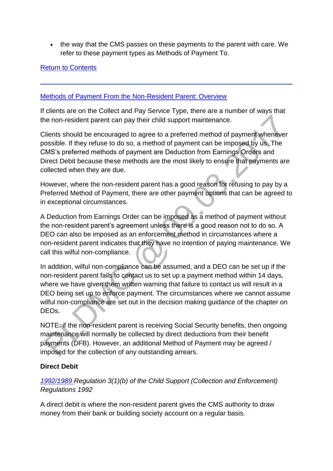• the way that the CMS passes on these payments to the parent with care. We refer to these payment types as Methods of Payment To.

#### [Return to Contents](http://np-cmg-sharepoint.link2.gpn.gov.uk/sites/policy-law-and-decision-making-guidance/Pages/Service%20Types%20and%20Methods%20of%20Payments/Service-Types-and-Methods-of-Payment.aspx#contents)

#### [Methods of Payment From the Non-Resident Parent: Overview](http://np-cmg-sharepoint.link2.gpn.gov.uk/sites/policy-law-and-decision-making-guidance/Pages/Service%20Types%20and%20Methods%20of%20Payments/Service-Types-and-Methods-of-Payment.aspx)

If clients are on the Collect and Pay Service Type, there are a number of ways that the non-resident parent can pay their child support maintenance.

Clients should be encouraged to agree to a preferred method of payment whenever possible. If they refuse to do so, a method of payment can be imposed by us. The CMS's preferred methods of payment are Deduction from Earnings Orders and Direct Debit because these methods are the most likely to ensure that payments are collected when they are due.

However, where the non-resident parent has a good reason for refusing to pay by a Preferred Method of Payment, there are other payment options that can be agreed to in exceptional circumstances.

A Deduction from Earnings Order can be imposed as a method of payment without the non-resident parent's agreement unless there is a good reason not to do so. A DEO can also be imposed as an enforcement method in circumstances where a non-resident parent indicates that they have no intention of paying maintenance. We call this wilful non-compliance.

In addition, wilful non-compliance can be assumed, and a DEO can be set up if the non-resident parent fails to contact us to set up a payment method within 14 days, where we have given them written warning that failure to contact us will result in a DEO being set up to enforce payment. The circumstances where we cannot assume wilful non-compliance are set out in the decision making guidance of the chapter on DEOs.

NOTE: if the non-resident parent is receiving Social Security benefits, then ongoing maintenance will normally be collected by direct deductions from their benefit payments (DFB). However, an additional Method of Payment may be agreed / imposed for the collection of any outstanding arrears.

#### **Direct Debit**

### *[1992/1989 R](http://www.legislation.gov.uk/uksi/1992/1989)egulation 3(1)(b) of the Child Support (Collection and Enforcement) Regulations 1992*

A direct debit is where the non-resident parent gives the CMS authority to draw money from their bank or building society account on a regular basis.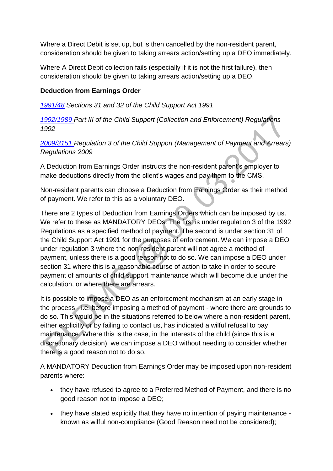Where a Direct Debit is set up, but is then cancelled by the non-resident parent, consideration should be given to taking arrears action/setting up a DEO immediately.

Where A Direct Debit collection fails (especially if it is not the first failure), then consideration should be given to taking arrears action/setting up a DEO.

#### **Deduction from Earnings Order**

*[1991/48](http://www.legislation.gov.uk/ukpga/1991/48) Sections 31 and 32 of the Child Support Act 1991* 

*[1992/1989 P](http://www.legislation.gov.uk/uksi/1992/1989)art III of the Child Support (Collection and Enforcement) Regulations 1992*

*[2009/3151 R](http://www.legislation.gov.uk/uksi/2009/3151/contents)egulation 3 of the Child Support (Management of Payment and Arrears) Regulations 2009*

A Deduction from Earnings Order instructs the non-resident parent's employer to make deductions directly from the client's wages and pay them to the CMS.

Non-resident parents can choose a Deduction from Earnings Order as their method of payment. We refer to this as a voluntary DEO.

There are 2 types of Deduction from Earnings Orders which can be imposed by us. We refer to these as MANDATORY DEOs. The first is under regulation 3 of the 1992 Regulations as a specified method of payment. The second is under section 31 of the Child Support Act 1991 for the purposes of enforcement. We can impose a DEO under regulation 3 where the non-resident parent will not agree a method of payment, unless there is a good reason not to do so. We can impose a DEO under section 31 where this is a reasonable course of action to take in order to secure payment of amounts of child support maintenance which will become due under the calculation, or where there are arrears.

It is possible to impose a DEO as an enforcement mechanism at an early stage in the process - i.e. before imposing a method of payment - where there are grounds to do so. This would be in the situations referred to below where a non-resident parent, either explicitly or by failing to contact us, has indicated a wilful refusal to pay maintenance. Where this is the case, in the interests of the child (since this is a discretionary decision), we can impose a DEO without needing to consider whether there is a good reason not to do so.

A MANDATORY Deduction from Earnings Order may be imposed upon non-resident parents where:

- they have refused to agree to a Preferred Method of Payment, and there is no good reason not to impose a DEO;
- they have stated explicitly that they have no intention of paying maintenance known as wilful non-compliance (Good Reason need not be considered);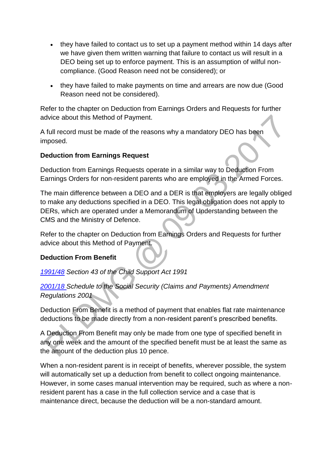- they have failed to contact us to set up a payment method within 14 days after we have given them written warning that failure to contact us will result in a DEO being set up to enforce payment. This is an assumption of wilful noncompliance. (Good Reason need not be considered); or
- they have failed to make payments on time and arrears are now due (Good Reason need not be considered).

Refer to the chapter on Deduction from Earnings Orders and Requests for further advice about this Method of Payment.

A full record must be made of the reasons why a mandatory DEO has been imposed.

#### **Deduction from Earnings Request**

Deduction from Earnings Requests operate in a similar way to Deduction From Earnings Orders for non-resident parents who are employed in the Armed Forces.

The main difference between a DEO and a DER is that employers are legally obliged to make any deductions specified in a DEO. This legal obligation does not apply to DERs, which are operated under a Memorandum of Understanding between the CMS and the Ministry of Defence.

Refer to the chapter on Deduction from Earnings Orders and Requests for further advice about this Method of Payment.

### **Deduction From Benefit**

*[1991/48](http://www.legislation.gov.uk/ukpga/1991/48) Section 43 of the Child Support Act 1991*

*[2001/18 S](http://www.legislation.gov.uk/uksi/2001/18/contents/made)chedule to the Social Security (Claims and Payments) Amendment Regulations 2001*

Deduction From Benefit is a method of payment that enables flat rate maintenance deductions to be made directly from a non-resident parent's prescribed benefits.

A Deduction From Benefit may only be made from one type of specified benefit in any one week and the amount of the specified benefit must be at least the same as the amount of the deduction plus 10 pence.

When a non-resident parent is in receipt of benefits, wherever possible, the system will automatically set up a deduction from benefit to collect ongoing maintenance. However, in some cases manual intervention may be required, such as where a nonresident parent has a case in the full collection service and a case that is maintenance direct, because the deduction will be a non-standard amount.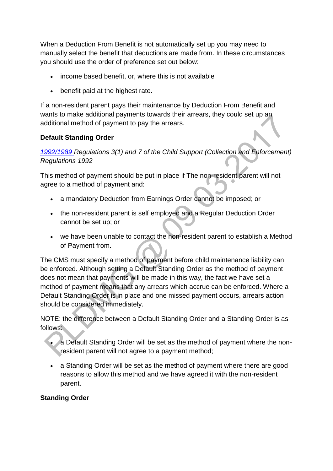When a Deduction From Benefit is not automatically set up you may need to manually select the benefit that deductions are made from. In these circumstances you should use the order of preference set out below:

- income based benefit, or, where this is not available
- benefit paid at the highest rate.

If a non-resident parent pays their maintenance by Deduction From Benefit and wants to make additional payments towards their arrears, they could set up an additional method of payment to pay the arrears.

#### **Default Standing Order**

*[1992/1989 R](http://www.legislation.gov.uk/uksi/1992/1989)egulations 3(1) and 7 of the Child Support (Collection and Enforcement) Regulations 1992*

This method of payment should be put in place if The non-resident parent will not agree to a method of payment and:

- a mandatory Deduction from Earnings Order cannot be imposed; or
- the non-resident parent is self employed and a Regular Deduction Order cannot be set up; or
- we have been unable to contact the non-resident parent to establish a Method of Payment from.

The CMS must specify a method of payment before child maintenance liability can be enforced. Although setting a Default Standing Order as the method of payment does not mean that payments will be made in this way, the fact we have set a method of payment means that any arrears which accrue can be enforced. Where a Default Standing Order is in place and one missed payment occurs, arrears action should be considered immediately.

NOTE: the difference between a Default Standing Order and a Standing Order is as follows:

- a Default Standing Order will be set as the method of payment where the nonresident parent will not agree to a payment method;
- a Standing Order will be set as the method of payment where there are good reasons to allow this method and we have agreed it with the non-resident parent.

### **Standing Order**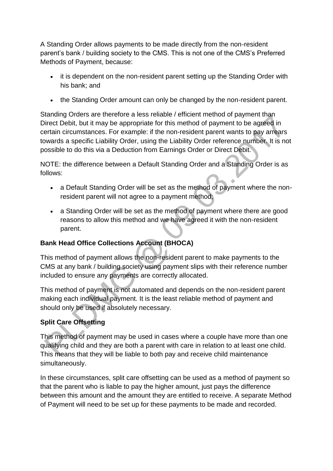A Standing Order allows payments to be made directly from the non-resident parent's bank / building society to the CMS. This is not one of the CMS's Preferred Methods of Payment, because:

- it is dependent on the non-resident parent setting up the Standing Order with his bank; and
- the Standing Order amount can only be changed by the non-resident parent.

Standing Orders are therefore a less reliable / efficient method of payment than Direct Debit, but it may be appropriate for this method of payment to be agreed in certain circumstances. For example: if the non-resident parent wants to pay arrears towards a specific Liability Order, using the Liability Order reference number. It is not possible to do this via a Deduction from Earnings Order or Direct Debit.

NOTE: the difference between a Default Standing Order and a Standing Order is as follows:

- a Default Standing Order will be set as the method of payment where the nonresident parent will not agree to a payment method;
- a Standing Order will be set as the method of payment where there are good reasons to allow this method and we have agreed it with the non-resident parent.

### **Bank Head Office Collections Account (BHOCA)**

This method of payment allows the non-resident parent to make payments to the CMS at any bank / building society using payment slips with their reference number included to ensure any payments are correctly allocated.

This method of payment is not automated and depends on the non-resident parent making each individual payment. It is the least reliable method of payment and should only be used if absolutely necessary.

# **Split Care Offsetting**

This method of payment may be used in cases where a couple have more than one qualifying child and they are both a parent with care in relation to at least one child. This means that they will be liable to both pay and receive child maintenance simultaneously.

In these circumstances, split care offsetting can be used as a method of payment so that the parent who is liable to pay the higher amount, just pays the difference between this amount and the amount they are entitled to receive. A separate Method of Payment will need to be set up for these payments to be made and recorded.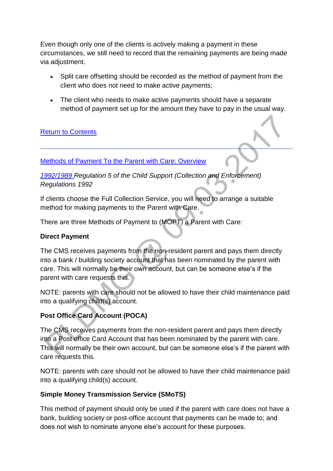Even though only one of the clients is actively making a payment in these circumstances, we still need to record that the remaining payments are being made via adjustment.

- Split care offsetting should be recorded as the method of payment from the client who does not need to make active payments;
- The client who needs to make active payments should have a separate method of payment set up for the amount they have to pay in the usual way.

### [Return to Contents](http://np-cmg-sharepoint.link2.gpn.gov.uk/sites/policy-law-and-decision-making-guidance/Pages/Service%20Types%20and%20Methods%20of%20Payments/Service-Types-and-Methods-of-Payment.aspx#contents)

#### [Methods of Payment To the Parent with Care: Overview](http://np-cmg-sharepoint.link2.gpn.gov.uk/sites/policy-law-and-decision-making-guidance/Pages/Service%20Types%20and%20Methods%20of%20Payments/Service-Types-and-Methods-of-Payment.aspx)

*[1992/1989 R](http://www.legislation.gov.uk/uksi/1992/1989)egulation 5 of the Child Support (Collection and Enforcement) Regulations 1992*

If clients choose the Full Collection Service, you will need to arrange a suitable method for making payments to the Parent with Care.

There are three Methods of Payment to (MOPT) a Parent with Care:

### **Direct Payment**

The CMS receives payments from the non-resident parent and pays them directly into a bank / building society account that has been nominated by the parent with care. This will normally be their own account, but can be someone else's if the parent with care requests this.

NOTE: parents with care should not be allowed to have their child maintenance paid into a qualifying child(s) account.

# **Post Office Card Account (POCA)**

The CMS receives payments from the non-resident parent and pays them directly into a Post office Card Account that has been nominated by the parent with care. This will normally be their own account, but can be someone else's if the parent with care requests this.

NOTE: parents with care should not be allowed to have their child maintenance paid into a qualifying child(s) account.

### **Simple Money Transmission Service (SMoTS)**

This method of payment should only be used if the parent with care does not have a bank, building society or post-office account that payments can be made to; and does not wish to nominate anyone else's account for these purposes.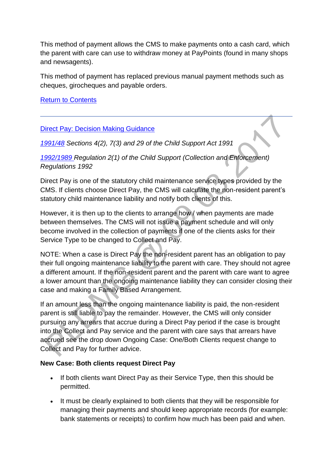This method of payment allows the CMS to make payments onto a cash card, which the parent with care can use to withdraw money at PayPoints (found in many shops and newsagents).

This method of payment has replaced previous manual payment methods such as cheques, girocheques and payable orders.

[Return to Contents](http://np-cmg-sharepoint.link2.gpn.gov.uk/sites/policy-law-and-decision-making-guidance/Pages/Service%20Types%20and%20Methods%20of%20Payments/Service-Types-and-Methods-of-Payment.aspx#contents)

#### [Direct Pay: Decision Making Guidance](http://np-cmg-sharepoint.link2.gpn.gov.uk/sites/policy-law-and-decision-making-guidance/Pages/Service%20Types%20and%20Methods%20of%20Payments/Service-Types-and-Methods-of-Payment.aspx)

*[1991/48](http://www.legislation.gov.uk/ukpga/1991/48) Sections 4(2), 7(3) and 29 of the Child Support Act 1991*

*[1992/1989 R](http://www.legislation.gov.uk/uksi/1992/1989)egulation 2(1) of the Child Support (Collection and Enforcement) Regulations 1992*

Direct Pay is one of the statutory child maintenance service types provided by the CMS. If clients choose Direct Pay, the CMS will calculate the non-resident parent's statutory child maintenance liability and notify both clients of this.

However, it is then up to the clients to arrange how / when payments are made between themselves. The CMS will not issue a payment schedule and will only become involved in the collection of payments if one of the clients asks for their Service Type to be changed to Collect and Pay.

NOTE: When a case is Direct Pay the non-resident parent has an obligation to pay their full ongoing maintenance liability to the parent with care. They should not agree a different amount. If the non-resident parent and the parent with care want to agree a lower amount than the ongoing maintenance liability they can consider closing their case and making a Family Based Arrangement.

If an amount less than the ongoing maintenance liability is paid, the non-resident parent is still liable to pay the remainder. However, the CMS will only consider pursuing any arrears that accrue during a Direct Pay period if the case is brought into the Collect and Pay service and the parent with care says that arrears have accrued see the drop down Ongoing Case: One/Both Clients request change to Collect and Pay for further advice.

#### **New Case: Both clients request Direct Pay**

- If both clients want Direct Pay as their Service Type, then this should be permitted.
- It must be clearly explained to both clients that they will be responsible for managing their payments and should keep appropriate records (for example: bank statements or receipts) to confirm how much has been paid and when.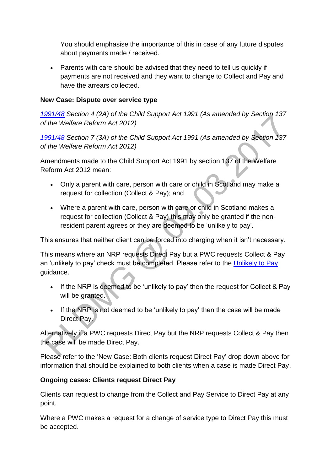You should emphasise the importance of this in case of any future disputes about payments made / received.

• Parents with care should be advised that they need to tell us quickly if payments are not received and they want to change to Collect and Pay and have the arrears collected.

#### **New Case: Dispute over service type**

*[1991/48](http://www.legislation.gov.uk/ukpga/1991/48) Section 4 (2A) of the Child Support Act 1991 (As amended by Section 137 of the Welfare Reform Act 2012)*

*[1991/48](http://www.legislation.gov.uk/ukpga/1991/48) Section 7 (3A) of the Child Support Act 1991 (As amended by Section 137 of the Welfare Reform Act 2012)*

Amendments made to the Child Support Act 1991 by section 137 of the Welfare Reform Act 2012 mean:

- Only a parent with care, person with care or child in Scotland may make a request for collection (Collect & Pay); and
- Where a parent with care, person with care or child in Scotland makes a request for collection (Collect & Pay) this may only be granted if the nonresident parent agrees or they are deemed to be 'unlikely to pay'.

This ensures that neither client can be forced into charging when it isn't necessary.

This means where an NRP requests Direct Pay but a PWC requests Collect & Pay an 'unlikely to pay' check must be completed. Please refer to the [Unlikely to Pay](http://np-cmg-sharepoint.link2.gpn.gov.uk/sites/policy-law-and-decision-making-guidance/Pages/Unlikely-to-Pay.aspx)  guidance.

- If the NRP is deemed to be 'unlikely to pay' then the request for Collect & Pay will be granted.
- If the NRP is not deemed to be 'unlikely to pay' then the case will be made Direct Pay.

Alternatively if a PWC requests Direct Pay but the NRP requests Collect & Pay then the case will be made Direct Pay.

Please refer to the 'New Case: Both clients request Direct Pay' drop down above for information that should be explained to both clients when a case is made Direct Pay.

#### **Ongoing cases: Clients request Direct Pay**

Clients can request to change from the Collect and Pay Service to Direct Pay at any point.

Where a PWC makes a request for a change of service type to Direct Pay this must be accepted.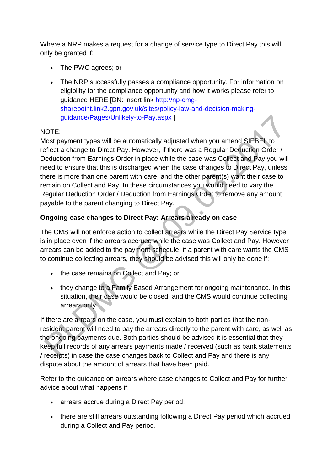Where a NRP makes a request for a change of service type to Direct Pay this will only be granted if:

- The PWC agrees; or
- The NRP successfully passes a compliance opportunity. For information on eligibility for the compliance opportunity and how it works please refer to guidance HERE [DN: insert link [http://np-cmg](http://np-cmg-sharepoint.link2.gpn.gov.uk/sites/policy-law-and-decision-making-guidance/Pages/Unlikely-to-Pay.aspx)[sharepoint.link2.gpn.gov.uk/sites/policy-law-and-decision-making](http://np-cmg-sharepoint.link2.gpn.gov.uk/sites/policy-law-and-decision-making-guidance/Pages/Unlikely-to-Pay.aspx)[guidance/Pages/Unlikely-to-Pay.aspx](http://np-cmg-sharepoint.link2.gpn.gov.uk/sites/policy-law-and-decision-making-guidance/Pages/Unlikely-to-Pay.aspx) ]

# NOTE:

Most payment types will be automatically adjusted when you amend SIEBEL to reflect a change to Direct Pay. However, if there was a Regular Deduction Order / Deduction from Earnings Order in place while the case was Collect and Pay you will need to ensure that this is discharged when the case changes to Direct Pay, unless there is more than one parent with care, and the other parent(s) want their case to remain on Collect and Pay. In these circumstances you would need to vary the Regular Deduction Order / Deduction from Earnings Order to remove any amount payable to the parent changing to Direct Pay.

# **Ongoing case changes to Direct Pay: Arrears already on case**

The CMS will not enforce action to collect arrears while the Direct Pay Service type is in place even if the arrears accrued while the case was Collect and Pay. However arrears can be added to the payment schedule. if a parent with care wants the CMS to continue collecting arrears, they should be advised this will only be done if:

- the case remains on Collect and Pay; or
- they change to a Family Based Arrangement for ongoing maintenance. In this situation, their case would be closed, and the CMS would continue collecting arrears only

If there are arrears on the case, you must explain to both parties that the nonresident parent will need to pay the arrears directly to the parent with care, as well as the ongoing payments due. Both parties should be advised it is essential that they keep full records of any arrears payments made / received (such as bank statements / receipts) in case the case changes back to Collect and Pay and there is any dispute about the amount of arrears that have been paid.

Refer to the guidance on arrears where case changes to Collect and Pay for further advice about what happens if:

- arrears accrue during a Direct Pay period;
- there are still arrears outstanding following a Direct Pay period which accrued during a Collect and Pay period.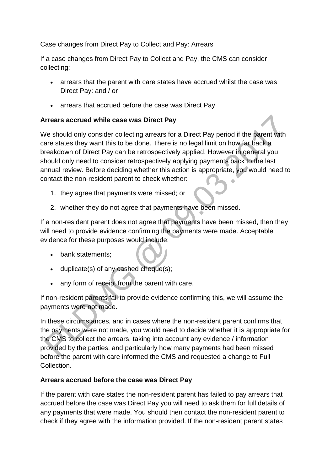Case changes from Direct Pay to Collect and Pay: Arrears

If a case changes from Direct Pay to Collect and Pay, the CMS can consider collecting:

- arrears that the parent with care states have accrued whilst the case was Direct Pay: and / or
- arrears that accrued before the case was Direct Pay

#### **Arrears accrued while case was Direct Pay**

We should only consider collecting arrears for a Direct Pay period if the parent with care states they want this to be done. There is no legal limit on how far back a breakdown of Direct Pay can be retrospectively applied. However in general you should only need to consider retrospectively applying payments back to the last annual review. Before deciding whether this action is appropriate, you would need to contact the non-resident parent to check whether:

- 1. they agree that payments were missed; or
- 2. whether they do not agree that payments have been missed.

If a non-resident parent does not agree that payments have been missed, then they will need to provide evidence confirming the payments were made. Acceptable evidence for these purposes would include:

- bank statements:
- duplicate(s) of any cashed cheque(s);
- any form of receipt from the parent with care.

If non-resident parents fail to provide evidence confirming this, we will assume the payments were not made.

In these circumstances, and in cases where the non-resident parent confirms that the payments were not made, you would need to decide whether it is appropriate for the CMS to collect the arrears, taking into account any evidence / information provided by the parties, and particularly how many payments had been missed before the parent with care informed the CMS and requested a change to Full Collection.

### **Arrears accrued before the case was Direct Pay**

If the parent with care states the non-resident parent has failed to pay arrears that accrued before the case was Direct Pay you will need to ask them for full details of any payments that were made. You should then contact the non-resident parent to check if they agree with the information provided. If the non-resident parent states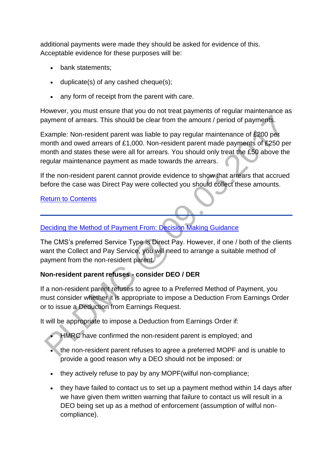additional payments were made they should be asked for evidence of this. Acceptable evidence for these purposes will be:

- bank statements;
- duplicate(s) of any cashed cheque(s);
- any form of receipt from the parent with care.

However, you must ensure that you do not treat payments of regular maintenance as payment of arrears. This should be clear from the amount / period of payments.

Example: Non-resident parent was liable to pay regular maintenance of £200 per month and owed arrears of £1,000. Non-resident parent made payments of £250 per month and states these were all for arrears. You should only treat the £50 above the regular maintenance payment as made towards the arrears.

If the non-resident parent cannot provide evidence to show that arrears that accrued before the case was Direct Pay were collected you should collect these amounts.

### [Return to Contents](http://np-cmg-sharepoint.link2.gpn.gov.uk/sites/policy-law-and-decision-making-guidance/Pages/Service%20Types%20and%20Methods%20of%20Payments/Service-Types-and-Methods-of-Payment.aspx#contents)

# [Deciding the Method of Payment From: Decision Making Guidance](http://np-cmg-sharepoint.link2.gpn.gov.uk/sites/policy-law-and-decision-making-guidance/Pages/Service%20Types%20and%20Methods%20of%20Payments/Service-Types-and-Methods-of-Payment.aspx)

The CMS's preferred Service Type is Direct Pay. However, if one / both of the clients want the Collect and Pay Service, you will need to arrange a suitable method of payment from the non-resident parent.

### **Non-resident parent refuses - consider DEO / DER**

If a non-resident parent refuses to agree to a Preferred Method of Payment, you must consider whether it is appropriate to impose a Deduction From Earnings Order or to issue a Deduction from Earnings Request.

It will be appropriate to impose a Deduction from Earnings Order if:

HMRC have confirmed the non-resident parent is employed; and

- the non-resident parent refuses to agree a preferred MOPF and is unable to provide a good reason why a DEO should not be imposed: or
- they actively refuse to pay by any MOPF(wilful non-compliance;
- they have failed to contact us to set up a payment method within 14 days after we have given them written warning that failure to contact us will result in a DEO being set up as a method of enforcement (assumption of wilful noncompliance).